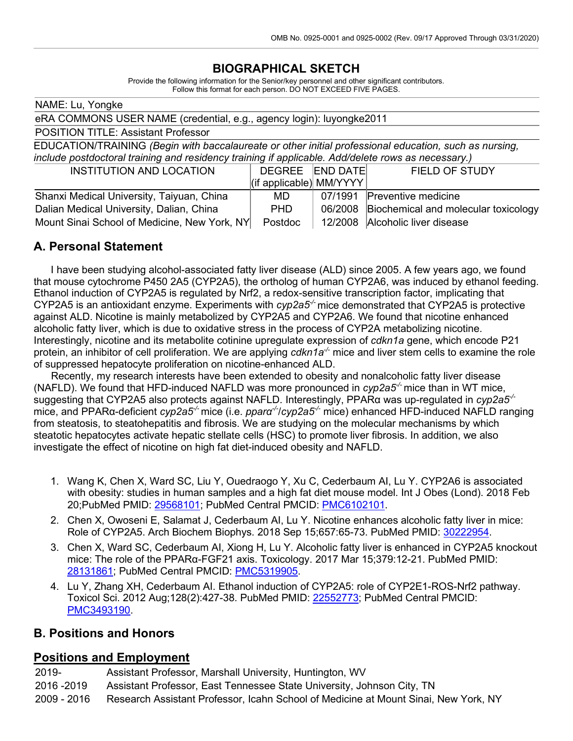## **BIOGRAPHICAL SKETCH**

Provide the following information for the Senior/key personnel and other significant contributors. Follow this format for each person. DO NOT EXCEED FIVE PAGES.

| NAME: Lu, Yongke                                                                                                                                                                                             |                                                  |                 |                                      |
|--------------------------------------------------------------------------------------------------------------------------------------------------------------------------------------------------------------|--------------------------------------------------|-----------------|--------------------------------------|
| eRA COMMONS USER NAME (credential, e.g., agency login): luyongke2011                                                                                                                                         |                                                  |                 |                                      |
| <b>POSITION TITLE: Assistant Professor</b>                                                                                                                                                                   |                                                  |                 |                                      |
| EDUCATION/TRAINING (Begin with baccalaureate or other initial professional education, such as nursing,<br>include postdoctoral training and residency training if applicable. Add/delete rows as necessary.) |                                                  |                 |                                      |
| <b>INSTITUTION AND LOCATION</b>                                                                                                                                                                              | <b>DEGREE</b><br>$\vert$ (if applicable) MM/YYYY | <b>END DATE</b> | <b>FIELD OF STUDY</b>                |
| Shanxi Medical University, Taiyuan, China                                                                                                                                                                    | MD.                                              | 07/1991         | Preventive medicine                  |
| Dalian Medical University, Dalian, China                                                                                                                                                                     | PHD.                                             | 06/2008         | Biochemical and molecular toxicology |
| Mount Sinai School of Medicine, New York, NY                                                                                                                                                                 | Postdoc                                          | 12/2008         | Alcoholic liver disease              |

#### **A. Personal Statement**

 I have been studying alcohol-associated fatty liver disease (ALD) since 2005. A few years ago, we found that mouse cytochrome P450 2A5 (CYP2A5), the ortholog of human CYP2A6, was induced by ethanol feeding. Ethanol induction of CYP2A5 is regulated by Nrf2, a redox-sensitive transcription factor, implicating that CYP2A5 is an antioxidant enzyme. Experiments with *cyp2a5<sup>-/-</sup>* mice demonstrated that CYP2A5 is protective against ALD. Nicotine is mainly metabolized by CYP2A5 and CYP2A6. We found that nicotine enhanced alcoholic fatty liver, which is due to oxidative stress in the process of CYP2A metabolizing nicotine. Interestingly, nicotine and its metabolite cotinine upregulate expression of *cdkn1a* gene, which encode P21 protein, an inhibitor of cell proliferation. We are applying *cdkn1a<sup>-/-</sup>* mice and liver stem cells to examine the role of suppressed hepatocyte proliferation on nicotine-enhanced ALD.

 Recently, my research interests have been extended to obesity and nonalcoholic fatty liver disease (NAFLD). We found that HFD-induced NAFLD was more pronounced in *cyp2a5<sup>-/-</sup>* mice than in WT mice, suggesting that CYP2A5 also protects against NAFLD. Interestingly, PPARα was up-regulated in *cyp2a5-/* mice, and PPARα-deficient *cyp2a5<sup>-/-</sup>* mice (i.e. *pparα<sup>-/</sup>/cyp2a5<sup>-/-</sup> m*ice) enhanced HFD-induced NAFLD ranging from steatosis, to steatohepatitis and fibrosis. We are studying on the molecular mechanisms by which steatotic hepatocytes activate hepatic stellate cells (HSC) to promote liver fibrosis. In addition, we also investigate the effect of nicotine on high fat diet-induced obesity and NAFLD.

- 1. Wang K, Chen X, Ward SC, Liu Y, Ouedraogo Y, Xu C, Cederbaum AI, Lu Y. CYP2A6 is associated with obesity: studies in human samples and a high fat diet mouse model. Int J Obes (Lond). 2018 Feb 20;PubMed PMID: [29568101;](http://www.ncbi.nlm.nih.gov/pubmed/29568101/) PubMed Central PMCID: [PMC6102101.](http://www.ncbi.nlm.nih.gov/pmc/articles/PMC6102101/)
- 2. Chen X, Owoseni E, Salamat J, Cederbaum AI, Lu Y. Nicotine enhances alcoholic fatty liver in mice: Role of CYP2A5. Arch Biochem Biophys. 2018 Sep 15;657:65-73. PubMed PMID: [30222954.](http://www.ncbi.nlm.nih.gov/pubmed/30222954/)
- 3. Chen X, Ward SC, Cederbaum AI, Xiong H, Lu Y. Alcoholic fatty liver is enhanced in CYP2A5 knockout mice: The role of the PPARα-FGF21 axis. Toxicology. 2017 Mar 15;379:12-21. PubMed PMID: [28131861;](http://www.ncbi.nlm.nih.gov/pubmed/28131861/) PubMed Central PMCID: [PMC5319905.](http://www.ncbi.nlm.nih.gov/pmc/articles/PMC5319905/)
- 4. Lu Y, Zhang XH, Cederbaum AI. Ethanol induction of CYP2A5: role of CYP2E1-ROS-Nrf2 pathway. Toxicol Sci. 2012 Aug;128(2):427-38. PubMed PMID: [22552773;](http://www.ncbi.nlm.nih.gov/pubmed/22552773/) PubMed Central PMCID: [PMC3493190.](http://www.ncbi.nlm.nih.gov/pmc/articles/PMC3493190/)

#### **B. Positions and Honors**

#### **Positions and Employment**

2019- Assistant Professor, Marshall University, Huntington, WV 2016 -2019 Assistant Professor, East Tennessee State University, Johnson City, TN 2009 - 2016 Research Assistant Professor, Icahn School of Medicine at Mount Sinai, New York, NY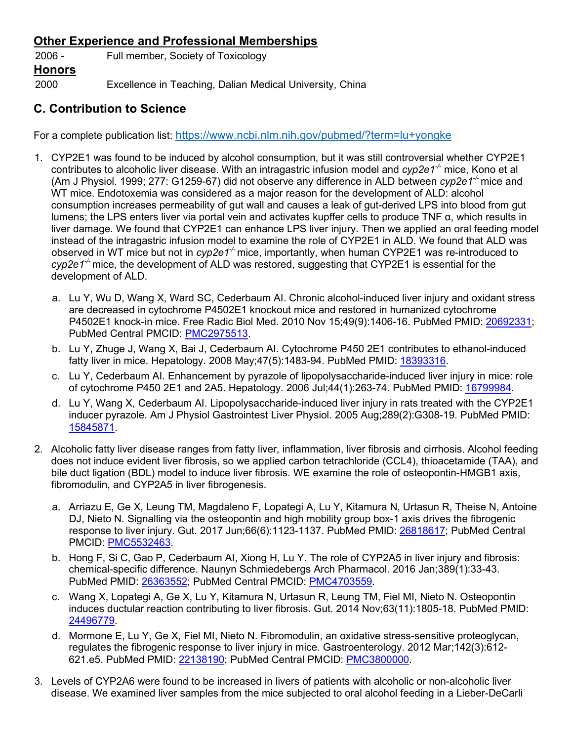## **Other Experience and Professional Memberships**

2006 - Full member, Society of Toxicology **Honors** 2000 Excellence in Teaching, Dalian Medical University, China

## **C. Contribution to Science**

For a complete publication list:<https://www.ncbi.nlm.nih.gov/pubmed/?term=lu+yongke>

- 1. CYP2E1 was found to be induced by alcohol consumption, but it was still controversial whether CYP2E1 contributes to alcoholic liver disease. With an intragastric infusion model and *cyp2e1-/-* mice, Kono et al (Am J Physiol. 1999; 277: G1259-67) did not observe any difference in ALD between *cyp2e1-/-* mice and WT mice. Endotoxemia was considered as a major reason for the development of ALD: alcohol consumption increases permeability of gut wall and causes a leak of gut-derived LPS into blood from gut lumens; the LPS enters liver via portal vein and activates kupffer cells to produce TNF α, which results in liver damage. We found that CYP2E1 can enhance LPS liver injury. Then we applied an oral feeding model instead of the intragastric infusion model to examine the role of CYP2E1 in ALD. We found that ALD was observed in WT mice but not in *cyp2e1<sup>-/-</sup>* mice, importantly, when human CYP2E1 was re-introduced to cyp2e1<sup>-/-</sup> mice, the development of ALD was restored, suggesting that CYP2E1 is essential for the development of ALD.
	- a. Lu Y, Wu D, Wang X, Ward SC, Cederbaum AI. Chronic alcohol-induced liver injury and oxidant stress are decreased in cytochrome P4502E1 knockout mice and restored in humanized cytochrome P4502E1 knock-in mice. Free Radic Biol Med. 2010 Nov 15;49(9):1406-16. PubMed PMID: [20692331;](http://www.ncbi.nlm.nih.gov/pubmed/20692331/) PubMed Central PMCID: [PMC2975513.](http://www.ncbi.nlm.nih.gov/pmc/articles/PMC2975513/)
	- b. Lu Y, Zhuge J, Wang X, Bai J, Cederbaum AI. Cytochrome P450 2E1 contributes to ethanol-induced fatty liver in mice. Hepatology. 2008 May;47(5):1483-94. PubMed PMID: [18393316.](http://www.ncbi.nlm.nih.gov/pubmed/18393316/)
	- c. Lu Y, Cederbaum AI. Enhancement by pyrazole of lipopolysaccharide-induced liver injury in mice: role of cytochrome P450 2E1 and 2A5. Hepatology. 2006 Jul;44(1):263-74. PubMed PMID: [16799984.](http://www.ncbi.nlm.nih.gov/pubmed/16799984/)
	- d. Lu Y, Wang X, Cederbaum AI. Lipopolysaccharide-induced liver injury in rats treated with the CYP2E1 inducer pyrazole. Am J Physiol Gastrointest Liver Physiol. 2005 Aug;289(2):G308-19. PubMed PMID: [15845871.](http://www.ncbi.nlm.nih.gov/pubmed/15845871/)
- 2. Alcoholic fatty liver disease ranges from fatty liver, inflammation, liver fibrosis and cirrhosis. Alcohol feeding does not induce evident liver fibrosis, so we applied carbon tetrachloride (CCL4), thioacetamide (TAA), and bile duct ligation (BDL) model to induce liver fibrosis. WE examine the role of osteopontin-HMGB1 axis, fibromodulin, and CYP2A5 in liver fibrogenesis.
	- a. Arriazu E, Ge X, Leung TM, Magdaleno F, Lopategi A, Lu Y, Kitamura N, Urtasun R, Theise N, Antoine DJ, Nieto N. Signalling via the osteopontin and high mobility group box-1 axis drives the fibrogenic response to liver injury. Gut. 2017 Jun;66(6):1123-1137. PubMed PMID: [26818617;](http://www.ncbi.nlm.nih.gov/pubmed/26818617/) PubMed Central PMCID: [PMC5532463.](http://www.ncbi.nlm.nih.gov/pmc/articles/PMC5532463/)
	- b. Hong F, Si C, Gao P, Cederbaum AI, Xiong H, Lu Y. The role of CYP2A5 in liver injury and fibrosis: chemical-specific difference. Naunyn Schmiedebergs Arch Pharmacol. 2016 Jan;389(1):33-43. PubMed PMID: [26363552;](http://www.ncbi.nlm.nih.gov/pubmed/26363552/) PubMed Central PMCID: [PMC4703559.](http://www.ncbi.nlm.nih.gov/pmc/articles/PMC4703559/)
	- c. Wang X, Lopategi A, Ge X, Lu Y, Kitamura N, Urtasun R, Leung TM, Fiel MI, Nieto N. Osteopontin induces ductular reaction contributing to liver fibrosis. Gut. 2014 Nov;63(11):1805-18. PubMed PMID: [24496779.](http://www.ncbi.nlm.nih.gov/pubmed/24496779/)
	- d. Mormone E, Lu Y, Ge X, Fiel MI, Nieto N. Fibromodulin, an oxidative stress-sensitive proteoglycan, regulates the fibrogenic response to liver injury in mice. Gastroenterology. 2012 Mar;142(3):612- 621.e5. PubMed PMID: [22138190;](http://www.ncbi.nlm.nih.gov/pubmed/22138190/) PubMed Central PMCID: [PMC3800000.](http://www.ncbi.nlm.nih.gov/pmc/articles/PMC3800000/)
- 3. Levels of CYP2A6 were found to be increased in livers of patients with alcoholic or non-alcoholic liver disease. We examined liver samples from the mice subjected to oral alcohol feeding in a Lieber-DeCarli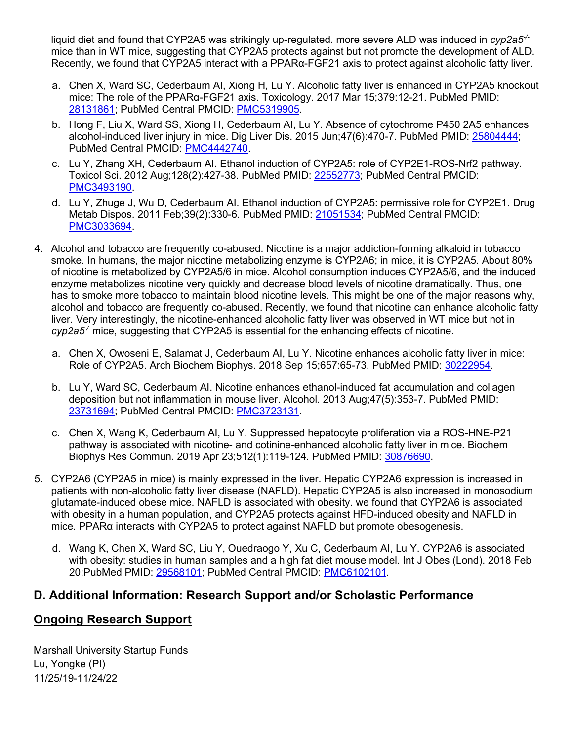liquid diet and found that CYP2A5 was strikingly up-regulated. more severe ALD was induced in *cyp2a5-/* mice than in WT mice, suggesting that CYP2A5 protects against but not promote the development of ALD. Recently, we found that CYP2A5 interact with a PPARα-FGF21 axis to protect against alcoholic fatty liver.

- a. Chen X, Ward SC, Cederbaum AI, Xiong H, Lu Y. Alcoholic fatty liver is enhanced in CYP2A5 knockout mice: The role of the PPARα-FGF21 axis. Toxicology. 2017 Mar 15;379:12-21. PubMed PMID: [28131861;](http://www.ncbi.nlm.nih.gov/pubmed/28131861/) PubMed Central PMCID: [PMC5319905.](http://www.ncbi.nlm.nih.gov/pmc/articles/PMC5319905/)
- b. Hong F, Liu X, Ward SS, Xiong H, Cederbaum AI, Lu Y. Absence of cytochrome P450 2A5 enhances alcohol-induced liver injury in mice. Dig Liver Dis. 2015 Jun;47(6):470-7. PubMed PMID: [25804444;](http://www.ncbi.nlm.nih.gov/pubmed/25804444/) PubMed Central PMCID: [PMC4442740.](http://www.ncbi.nlm.nih.gov/pmc/articles/PMC4442740/)
- c. Lu Y, Zhang XH, Cederbaum AI. Ethanol induction of CYP2A5: role of CYP2E1-ROS-Nrf2 pathway. Toxicol Sci. 2012 Aug;128(2):427-38. PubMed PMID: [22552773;](http://www.ncbi.nlm.nih.gov/pubmed/22552773/) PubMed Central PMCID: [PMC3493190.](http://www.ncbi.nlm.nih.gov/pmc/articles/PMC3493190/)
- d. Lu Y, Zhuge J, Wu D, Cederbaum AI. Ethanol induction of CYP2A5: permissive role for CYP2E1. Drug Metab Dispos. 2011 Feb;39(2):330-6. PubMed PMID: [21051534;](http://www.ncbi.nlm.nih.gov/pubmed/21051534/) PubMed Central PMCID: [PMC3033694.](http://www.ncbi.nlm.nih.gov/pmc/articles/PMC3033694/)
- 4. Alcohol and tobacco are frequently co-abused. Nicotine is a major addiction-forming alkaloid in tobacco smoke. In humans, the major nicotine metabolizing enzyme is CYP2A6; in mice, it is CYP2A5. About 80% of nicotine is metabolized by CYP2A5/6 in mice. Alcohol consumption induces CYP2A5/6, and the induced enzyme metabolizes nicotine very quickly and decrease blood levels of nicotine dramatically. Thus, one has to smoke more tobacco to maintain blood nicotine levels. This might be one of the major reasons why, alcohol and tobacco are frequently co-abused. Recently, we found that nicotine can enhance alcoholic fatty liver. Very interestingly, the nicotine-enhanced alcoholic fatty liver was observed in WT mice but not in cyp2a5<sup>-/-</sup> mice, suggesting that CYP2A5 is essential for the enhancing effects of nicotine.
	- a. Chen X, Owoseni E, Salamat J, Cederbaum AI, Lu Y. Nicotine enhances alcoholic fatty liver in mice: Role of CYP2A5. Arch Biochem Biophys. 2018 Sep 15;657:65-73. PubMed PMID: [30222954.](http://www.ncbi.nlm.nih.gov/pubmed/30222954/)
	- b. Lu Y, Ward SC, Cederbaum AI. Nicotine enhances ethanol-induced fat accumulation and collagen deposition but not inflammation in mouse liver. Alcohol. 2013 Aug;47(5):353-7. PubMed PMID: [23731694;](http://www.ncbi.nlm.nih.gov/pubmed/23731694/) PubMed Central PMCID: [PMC3723131.](http://www.ncbi.nlm.nih.gov/pmc/articles/PMC3723131/)
	- c. Chen X, Wang K, Cederbaum AI, Lu Y. Suppressed hepatocyte proliferation via a [ROS-HNE-P21](https://www.ncbi.nlm.nih.gov/pubmed/30876690) pathway is associated with nicotine- and [cotinine-enhanced](https://www.ncbi.nlm.nih.gov/pubmed/30876690) alcoholic fatty liver in mice. Biochem Biophys Res Commun. 2019 Apr 23;512(1):119-124. PubMed PMID: [30876690.](http://www.ncbi.nlm.nih.gov/pubmed/30222954/)
- 5. CYP2A6 (CYP2A5 in mice) is mainly expressed in the liver. Hepatic CYP2A6 expression is increased in patients with non-alcoholic fatty liver disease (NAFLD). Hepatic CYP2A5 is also increased in monosodium glutamate-induced obese mice. NAFLD is associated with obesity. we found that CYP2A6 is associated with obesity in a human population, and CYP2A5 protects against HFD-induced obesity and NAFLD in mice. PPARα interacts with CYP2A5 to protect against NAFLD but promote obesogenesis.
	- d. Wang K, Chen X, Ward SC, Liu Y, Ouedraogo Y, Xu C, Cederbaum AI, Lu Y. CYP2A6 is associated with obesity: studies in human samples and a high fat diet mouse model. Int J Obes (Lond). 2018 Feb 20;PubMed PMID: [29568101;](http://www.ncbi.nlm.nih.gov/pubmed/29568101/) PubMed Central PMCID: [PMC6102101.](http://www.ncbi.nlm.nih.gov/pmc/articles/PMC6102101/)

### **D. Additional Information: Research Support and/or Scholastic Performance**

#### **Ongoing Research Support**

Marshall University Startup Funds Lu, Yongke (PI) 11/25/19-11/24/22